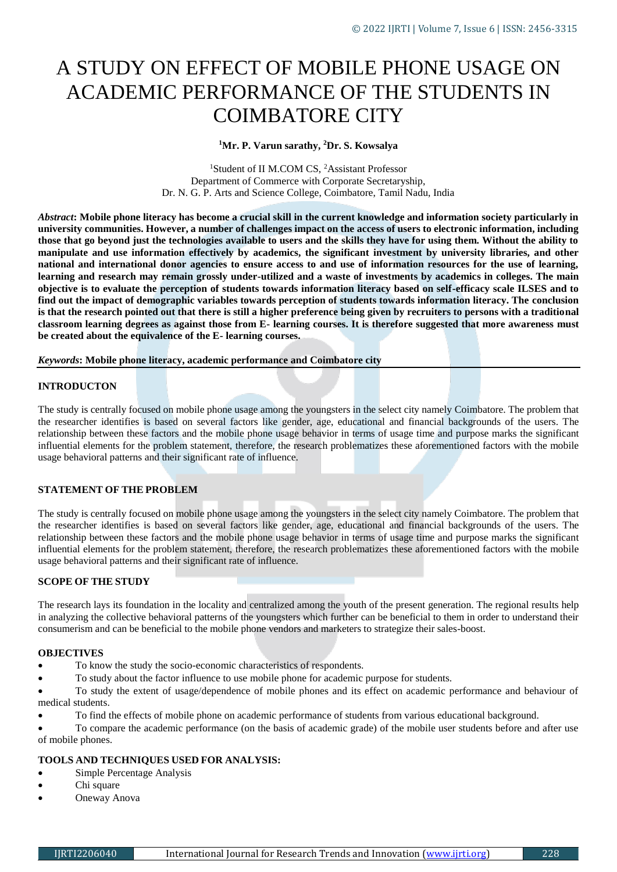# A STUDY ON EFFECT OF MOBILE PHONE USAGE ON ACADEMIC PERFORMANCE OF THE STUDENTS IN COIMBATORE CITY

**<sup>1</sup>Mr. P. Varun sarathy, <sup>2</sup>Dr. S. Kowsalya**

<sup>1</sup>Student of II M.COM CS, <sup>2</sup>Assistant Professor Department of Commerce with Corporate Secretaryship, Dr. N. G. P. Arts and Science College, Coimbatore, Tamil Nadu, India

*Abstract***: Mobile phone literacy has become a crucial skill in the current knowledge and information society particularly in university communities. However, a number of challenges impact on the access of users to electronic information, including those that go beyond just the technologies available to users and the skills they have for using them. Without the ability to manipulate and use information effectively by academics, the significant investment by university libraries, and other national and international donor agencies to ensure access to and use of information resources for the use of learning, learning and research may remain grossly under-utilized and a waste of investments by academics in colleges. The main objective is to evaluate the perception of students towards information literacy based on self-efficacy scale ILSES and to find out the impact of demographic variables towards perception of students towards information literacy. The conclusion is that the research pointed out that there is still a higher preference being given by recruiters to persons with a traditional classroom learning degrees as against those from E- learning courses. It is therefore suggested that more awareness must be created about the equivalence of the E- learning courses.**

*Keywords***: Mobile phone literacy, academic performance and Coimbatore city**

#### **INTRODUCTON**

The study is centrally focused on mobile phone usage among the youngsters in the select city namely Coimbatore. The problem that the researcher identifies is based on several factors like gender, age, educational and financial backgrounds of the users. The relationship between these factors and the mobile phone usage behavior in terms of usage time and purpose marks the significant influential elements for the problem statement, therefore, the research problematizes these aforementioned factors with the mobile usage behavioral patterns and their significant rate of influence.

#### **STATEMENT OF THE PROBLEM**

The study is centrally focused on mobile phone usage among the youngsters in the select city namely Coimbatore. The problem that the researcher identifies is based on several factors like gender, age, educational and financial backgrounds of the users. The relationship between these factors and the mobile phone usage behavior in terms of usage time and purpose marks the significant influential elements for the problem statement, therefore, the research problematizes these aforementioned factors with the mobile usage behavioral patterns and their significant rate of influence.

#### **SCOPE OF THE STUDY**

The research lays its foundation in the locality and centralized among the youth of the present generation. The regional results help in analyzing the collective behavioral patterns of the youngsters which further can be beneficial to them in order to understand their consumerism and can be beneficial to the mobile phone vendors and marketers to strategize their sales-boost.

#### **OBJECTIVES**

- To know the study the socio-economic characteristics of respondents.
- To study about the factor influence to use mobile phone for academic purpose for students.

 To study the extent of usage/dependence of mobile phones and its effect on academic performance and behaviour of medical students.

To find the effects of mobile phone on academic performance of students from various educational background.

 To compare the academic performance (on the basis of academic grade) of the mobile user students before and after use of mobile phones.

### **TOOLS AND TECHNIQUES USED FOR ANALYSIS:**

- Simple Percentage Analysis
- Chi square
- Oneway Anova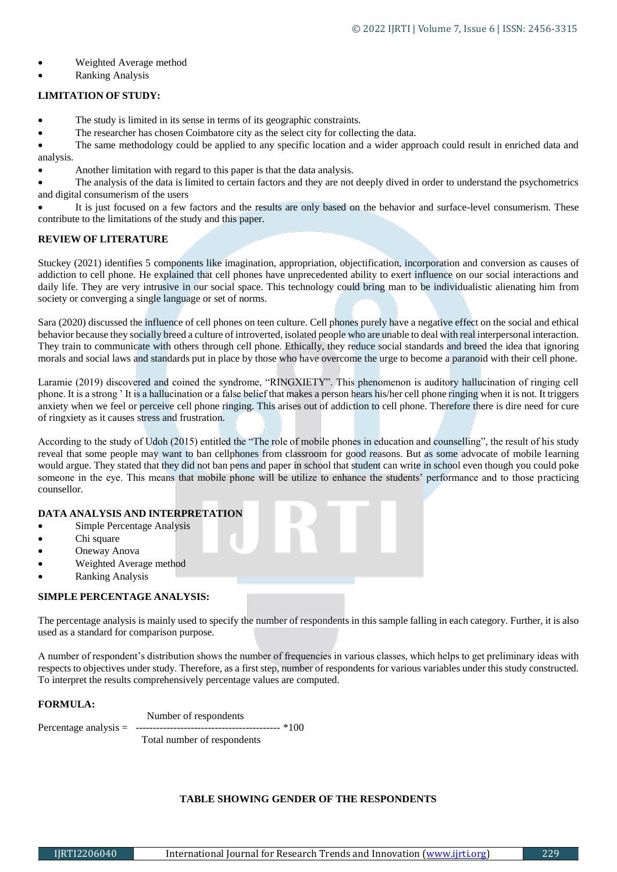- Weighted Average method
- Ranking Analysis

#### **LIMITATION OF STUDY:**

- The study is limited in its sense in terms of its geographic constraints.
- The researcher has chosen Coimbatore city as the select city for collecting the data.

 The same methodology could be applied to any specific location and a wider approach could result in enriched data and analysis.

Another limitation with regard to this paper is that the data analysis.

 The analysis of the data is limited to certain factors and they are not deeply dived in order to understand the psychometrics and digital consumerism of the users

 It is just focused on a few factors and the results are only based on the behavior and surface-level consumerism. These contribute to the limitations of the study and this paper.

#### **REVIEW OF LITERATURE**

Stuckey (2021) identifies 5 components like imagination, appropriation, objectification, incorporation and conversion as causes of addiction to cell phone. He explained that cell phones have unprecedented ability to exert influence on our social interactions and daily life. They are very intrusive in our social space. This technology could bring man to be individualistic alienating him from society or converging a single language or set of norms.

Sara (2020) discussed the influence of cell phones on teen culture. Cell phones purely have a negative effect on the social and ethical behavior because they socially breed a culture of introverted, isolated people who are unable to deal with real interpersonal interaction. They train to communicate with others through cell phone. Ethically, they reduce social standards and breed the idea that ignoring morals and social laws and standards put in place by those who have overcome the urge to become a paranoid with their cell phone.

Laramie (2019) discovered and coined the syndrome, "RINGXIETY". This phenomenon is auditory hallucination of ringing cell phone. It is a strong ' It is a hallucination or a false belief that makes a person hears his/her cell phone ringing when it is not. It triggers anxiety when we feel or perceive cell phone ringing. This arises out of addiction to cell phone. Therefore there is dire need for cure of ringxiety as it causes stress and frustration.

According to the study of Udoh (2015) entitled the "The role of mobile phones in education and counselling", the result of his study reveal that some people may want to ban cellphones from classroom for good reasons. But as some advocate of mobile learning would argue. They stated that they did not ban pens and paper in school that student can write in school even though you could poke someone in the eye. This means that mobile phone will be utilize to enhance the students' performance and to those practicing counsellor.

#### **DATA ANALYSIS AND INTERPRETATION**

- Simple Percentage Analysis
- Chi square
- Oneway Anova
- Weighted Average method
- Ranking Analysis

#### **SIMPLE PERCENTAGE ANALYSIS:**

The percentage analysis is mainly used to specify the number of respondents in this sample falling in each category. Further, it is also used as a standard for comparison purpose.

A number of respondent's distribution shows the number of frequencies in various classes, which helps to get preliminary ideas with respects to objectives under study. Therefore, as a first step, number of respondents for various variables under this study constructed. To interpret the results comprehensively percentage values are computed.

#### **FORMULA:**

Number of respondents

Percentage analysis = ------------------------------------------ \*100

Total number of respondents

#### **TABLE SHOWING GENDER OF THE RESPONDENTS**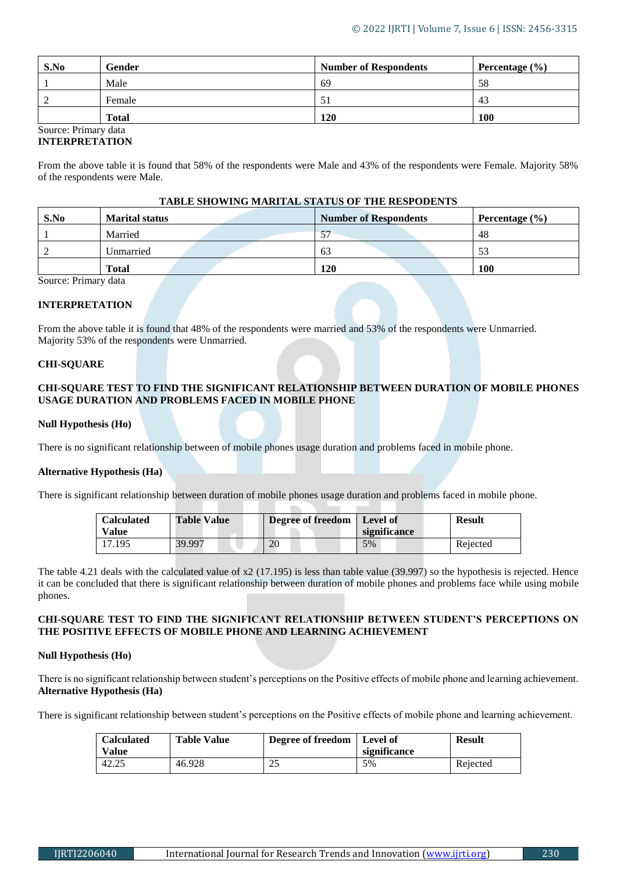| S.No | Gender       | <b>Number of Respondents</b> | Percentage $(\% )$ |
|------|--------------|------------------------------|--------------------|
|      | Male         | 69                           | 58                 |
|      | Female       | 51                           | 43                 |
|      | <b>Total</b> | 120                          | 100                |

#### Source: Primary data **INTERPRETATION**

From the above table it is found that 58% of the respondents were Male and 43% of the respondents were Female. Majority 58% of the respondents were Male.

### **TABLE SHOWING MARITAL STATUS OF THE RESPODENTS**

| S.No | <b>Marital status</b> | <b>Number of Respondents</b> | Percentage $(\% )$ |
|------|-----------------------|------------------------------|--------------------|
|      | Married               | $\overline{C}$               | 48                 |
|      | Unmarried             | 63                           | 53                 |
|      | <b>Total</b>          | 120                          | 100                |

Source: Primary data

## **INTERPRETATION**

From the above table it is found that 48% of the respondents were married and 53% of the respondents were Unmarried. Majority 53% of the respondents were Unmarried.

#### **CHI-SQUARE**

#### **CHI-SQUARE TEST TO FIND THE SIGNIFICANT RELATIONSHIP BETWEEN DURATION OF MOBILE PHONES USAGE DURATION AND PROBLEMS FACED IN MOBILE PHONE**

#### **Null Hypothesis (Ho)**

There is no significant relationship between of mobile phones usage duration and problems faced in mobile phone.

#### **Alternative Hypothesis (Ha)**

There is significant relationship between duration of mobile phones usage duration and problems faced in mobile phone.

| <b>Calculated</b><br>Value | <b>Table Value</b> | <b>Degree of freedom</b>   Level of | significance | <b>Result</b> |
|----------------------------|--------------------|-------------------------------------|--------------|---------------|
| 17.195                     | 39.997             | 20                                  | 5%           | Rejected      |

The table 4.21 deals with the calculated value of x2 (17.195) is less than table value (39.997) so the hypothesis is rejected. Hence it can be concluded that there is significant relationship between duration of mobile phones and problems face while using mobile phones.

## **CHI-SQUARE TEST TO FIND THE SIGNIFICANT RELATIONSHIP BETWEEN STUDENT'S PERCEPTIONS ON THE POSITIVE EFFECTS OF MOBILE PHONE AND LEARNING ACHIEVEMENT**

#### **Null Hypothesis (Ho)**

There is no significant relationship between student's perceptions on the Positive effects of mobile phone and learning achievement. **Alternative Hypothesis (Ha)**

There is significant relationship between student's perceptions on the Positive effects of mobile phone and learning achievement.

| <b>Calculated</b><br>Value | <b>Table Value</b> | Degree of freedom | Level of<br>significance | <b>Result</b> |
|----------------------------|--------------------|-------------------|--------------------------|---------------|
| 42.25                      | 46.928             | つら<br>ىك          | 5%                       | Rejected      |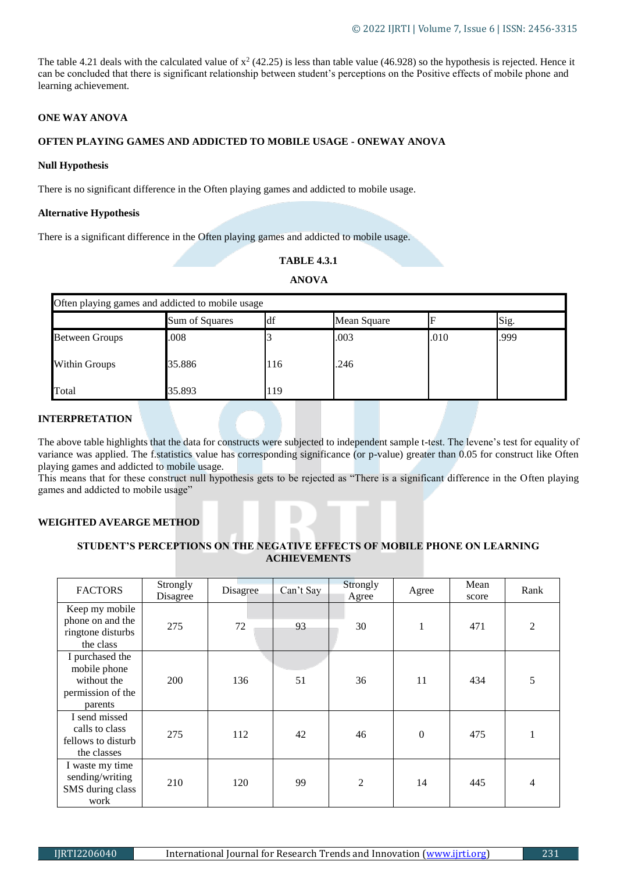The table 4.21 deals with the calculated value of  $x^2$  (42.25) is less than table value (46.928) so the hypothesis is rejected. Hence it can be concluded that there is significant relationship between student's perceptions on the Positive effects of mobile phone and learning achievement.

## **ONE WAY ANOVA**

# **OFTEN PLAYING GAMES AND ADDICTED TO MOBILE USAGE - ONEWAY ANOVA**

#### **Null Hypothesis**

There is no significant difference in the Often playing games and addicted to mobile usage.

#### **Alternative Hypothesis**

There is a significant difference in the Often playing games and addicted to mobile usage.

# **TABLE 4.3.1**

# **ANOVA**

| Often playing games and addicted to mobile usage |                |     |             |      |      |  |  |
|--------------------------------------------------|----------------|-----|-------------|------|------|--|--|
|                                                  | Sum of Squares | ldf | Mean Square |      | Sig. |  |  |
| <b>Between Groups</b>                            | .008           |     | .003        | .010 | .999 |  |  |
| <b>Within Groups</b>                             | 35.886         | 116 | .246        |      |      |  |  |
| Total                                            | 35.893         | 119 |             |      |      |  |  |

### **INTERPRETATION**

The above table highlights that the data for constructs were subjected to independent sample t-test. The levene's test for equality of variance was applied. The f.statistics value has corresponding significance (or p-value) greater than 0.05 for construct like Often playing games and addicted to mobile usage.

This means that for these construct null hypothesis gets to be rejected as "There is a significant difference in the Often playing games and addicted to mobile usage"

## **WEIGHTED AVEARGE METHOD**

## **STUDENT'S PERCEPTIONS ON THE NEGATIVE EFFECTS OF MOBILE PHONE ON LEARNING ACHIEVEMENTS**

| <b>FACTORS</b>                                                                 | Strongly<br>Disagree | Disagree | Can't Say | Strongly<br>Agree | Agree        | Mean<br>score | Rank           |
|--------------------------------------------------------------------------------|----------------------|----------|-----------|-------------------|--------------|---------------|----------------|
| Keep my mobile<br>phone on and the<br>ringtone disturbs<br>the class           | 275                  | 72       | 93        | 30                | 1            | 471           | $\mathfrak{D}$ |
| I purchased the<br>mobile phone<br>without the<br>permission of the<br>parents | 200                  | 136      | 51        | 36                | 11           | 434           | 5              |
| I send missed<br>calls to class<br>fellows to disturb<br>the classes           | 275                  | 112      | 42        | 46                | $\mathbf{0}$ | 475           |                |
| I waste my time<br>sending/writing<br>SMS during class<br>work                 | 210                  | 120      | 99        | $\overline{2}$    | 14           | 445           | 4              |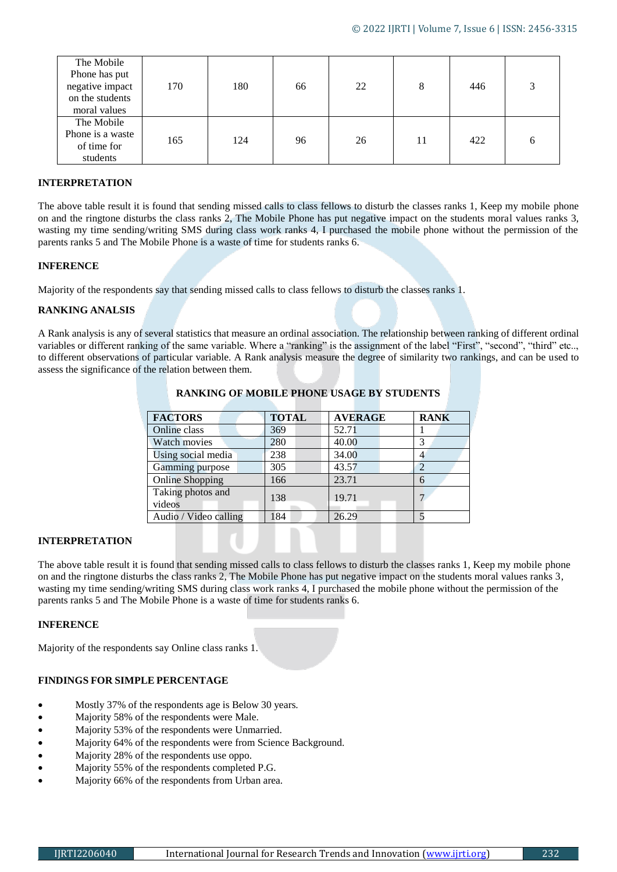| The Mobile<br>Phone has put<br>negative impact<br>on the students<br>moral values | 170 | 180 | 66 | 22 | 8  | 446 |  |
|-----------------------------------------------------------------------------------|-----|-----|----|----|----|-----|--|
| The Mobile<br>Phone is a waste<br>of time for<br>students                         | 165 | 124 | 96 | 26 | 11 | 422 |  |

#### **INTERPRETATION**

The above table result it is found that sending missed calls to class fellows to disturb the classes ranks 1, Keep my mobile phone on and the ringtone disturbs the class ranks 2, The Mobile Phone has put negative impact on the students moral values ranks 3, wasting my time sending/writing SMS during class work ranks 4, I purchased the mobile phone without the permission of the parents ranks 5 and The Mobile Phone is a waste of time for students ranks 6.

#### **INFERENCE**

Majority of the respondents say that sending missed calls to class fellows to disturb the classes ranks 1.

#### **RANKING ANALSIS**

A Rank analysis is any of several statistics that measure an ordinal association. The relationship between ranking of different ordinal variables or different ranking of the same variable. Where a "ranking" is the assignment of the label "First", "second", "third" etc.., to different observations of particular variable. A Rank analysis measure the degree of similarity two rankings, and can be used to assess the significance of the relation between them.

| <b>FACTORS</b>         | <b>TOTAL</b> | <b>AVERAGE</b> | <b>RANK</b> |
|------------------------|--------------|----------------|-------------|
| Online class           | 369          | 52.71          |             |
| Watch movies           | 280          | 40.00          | 3           |
| Using social media     | 238          | 34.00          |             |
| Gamming purpose        | 305          | 43.57          | 2           |
| <b>Online Shopping</b> | 166          | 23.71          | 6           |
| Taking photos and      | 138          | 19.71          |             |
| videos                 |              |                |             |
| Audio / Video calling  | 184          | 26.29          |             |

# **RANKING OF MOBILE PHONE USAGE BY STUDENTS**

#### **INTERPRETATION**

The above table result it is found that sending missed calls to class fellows to disturb the classes ranks 1, Keep my mobile phone on and the ringtone disturbs the class ranks 2, The Mobile Phone has put negative impact on the students moral values ranks 3, wasting my time sending/writing SMS during class work ranks 4, I purchased the mobile phone without the permission of the parents ranks 5 and The Mobile Phone is a waste of time for students ranks 6.

#### **INFERENCE**

Majority of the respondents say Online class ranks 1.

## **FINDINGS FOR SIMPLE PERCENTAGE**

- Mostly 37% of the respondents age is Below 30 years.
- Majority 58% of the respondents were Male.
- Majority 53% of the respondents were Unmarried.
- Majority 64% of the respondents were from Science Background.
- Majority 28% of the respondents use oppo.
- Majority 55% of the respondents completed P.G.
- Majority 66% of the respondents from Urban area.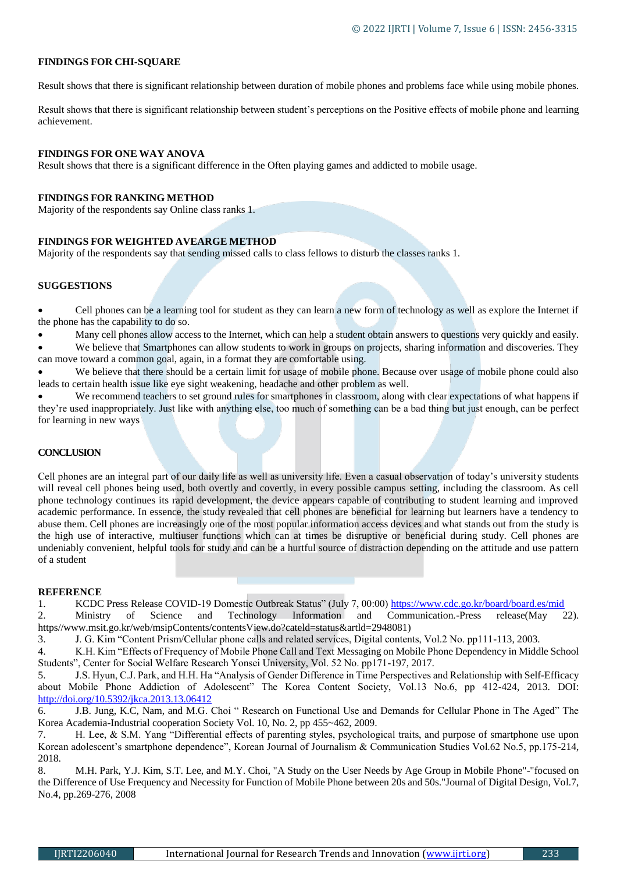#### **FINDINGS FOR CHI-SQUARE**

Result shows that there is significant relationship between duration of mobile phones and problems face while using mobile phones.

Result shows that there is significant relationship between student's perceptions on the Positive effects of mobile phone and learning achievement.

#### **FINDINGS FOR ONE WAY ANOVA**

Result shows that there is a significant difference in the Often playing games and addicted to mobile usage.

#### **FINDINGS FOR RANKING METHOD**

Majority of the respondents say Online class ranks 1.

#### **FINDINGS FOR WEIGHTED AVEARGE METHOD**

Majority of the respondents say that sending missed calls to class fellows to disturb the classes ranks 1.

#### **SUGGESTIONS**

 Cell phones can be a learning tool for student as they can learn a new form of technology as well as explore the Internet if the phone has the capability to do so.

Many cell phones allow access to the Internet, which can help a student obtain answers to questions very quickly and easily.

 We believe that Smartphones can allow students to work in groups on projects, sharing information and discoveries. They can move toward a common goal, again, in a format they are comfortable using.

We believe that there should be a certain limit for usage of mobile phone. Because over usage of mobile phone could also leads to certain health issue like eye sight weakening, headache and other problem as well.

 We recommend teachers to set ground rules for smartphones in classroom, along with clear expectations of what happens if they're used inappropriately. Just like with anything else, too much of something can be a bad thing but just enough, can be perfect for learning in new ways

#### **CONCLUSION**

Cell phones are an integral part of our daily life as well as university life. Even a casual observation of today's university students will reveal cell phones being used, both overtly and covertly, in every possible campus setting, including the classroom. As cell phone technology continues its rapid development, the device appears capable of contributing to student learning and improved academic performance. In essence, the study revealed that cell phones are beneficial for learning but learners have a tendency to abuse them. Cell phones are increasingly one of the most popular information access devices and what stands out from the study is the high use of interactive, multiuser functions which can at times be disruptive or beneficial during study. Cell phones are undeniably convenient, helpful tools for study and can be a hurtful source of distraction depending on the attitude and use pattern of a student

#### **REFERENCE**

1. KCDC Press Release COVID-19 Domestic Outbreak Status" (July 7, 00:00) https://www.cdc.go.kr/board/board.es/mid

2. Ministry of Science and Technology Information and Communication.-Press release(May 22). https//www.msit.go.kr/web/msipContents/contentsView.do?cateld=status&artld=2948081)

3. J. G. Kim "Content Prism/Cellular phone calls and related services, Digital contents, Vol.2 No. pp111-113, 2003.

4. K.H. Kim "Effects of Frequency of Mobile Phone Call and Text Messaging on Mobile Phone Dependency in Middle School Students", Center for Social Welfare Research Yonsei University, Vol. 52 No. pp171-197, 2017.

5. J.S. Hyun, C.J. Park, and H.H. Ha "Analysis of Gender Difference in Time Perspectives and Relationship with Self-Efficacy about Mobile Phone Addiction of Adolescent" The Korea Content Society, Vol.13 No.6, pp 412-424, 2013. DOI: <http://doi.org/10.5392/jkca.2013.13.06412>

6. J.B. Jung, K.C, Nam, and M.G. Choi " Research on Functional Use and Demands for Cellular Phone in The Aged" The Korea Academia-Industrial cooperation Society Vol. 10, No. 2, pp 455~462, 2009.

7. H. Lee, & S.M. Yang "Differential effects of parenting styles, psychological traits, and purpose of smartphone use upon Korean adolescent's smartphone dependence", Korean Journal of Journalism & Communication Studies Vol.62 No.5, pp.175-214, 2018.

8. M.H. Park, Y.J. Kim, S.T. Lee, and M.Y. Choi, "A Study on the User Needs by Age Group in Mobile Phone"-"focused on the Difference of Use Frequency and Necessity for Function of Mobile Phone between 20s and 50s."Journal of Digital Design, Vol.7, No.4, pp.269-276, 2008